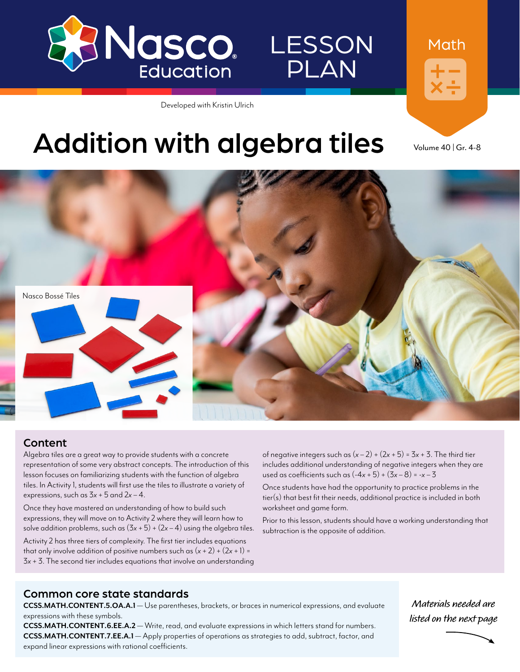

LESSON PLAN

Developed with Kristin Ulrich



# Addition with algebra tiles volume 40 | Gr. 4-8

Nasco Bossé Tiles

### Content

Algebra tiles are a great way to provide students with a concrete representation of some very abstract concepts. The introduction of this lesson focuses on familiarizing students with the function of algebra tiles. In Activity 1, students will first use the tiles to illustrate a variety of expressions, such as 3*x* + 5 and 2*x* – 4.

Once they have mastered an understanding of how to build such expressions, they will move on to Activity 2 where they will learn how to solve addition problems, such as  $(3x + 5) + (2x - 4)$  using the algebra tiles. Activity 2 has three tiers of complexity. The first tier includes equations that only involve addition of positive numbers such as  $(x + 2) + (2x + 1) =$ 3*x* + 3. The second tier includes equations that involve an understanding

of negative integers such as  $(x - 2) + (2x + 5) = 3x + 3$ . The third tier includes additional understanding of negative integers when they are used as coefficients such as  $(-4x + 5) + (3x - 8) = -x - 3$ 

Once students have had the opportunity to practice problems in the tier(s) that best fit their needs, additional practice is included in both worksheet and game form.

Prior to this lesson, students should have a working understanding that subtraction is the opposite of addition.

### Common core state standards

**CCSS.MATH.CONTENT.5.OA.A.1** — Use parentheses, brackets, or braces in numerical expressions, and evaluate expressions with these symbols.

**CCSS.MATH.CONTENT.6.EE.A.2** — Write, read, and evaluate expressions in which letters stand for numbers. **CCSS.MATH.CONTENT.7.EE.A.1** — Apply properties of operations as strategies to add, subtract, factor, and expand linear expressions with rational coefficients.

**Materials needed are listed on the next page**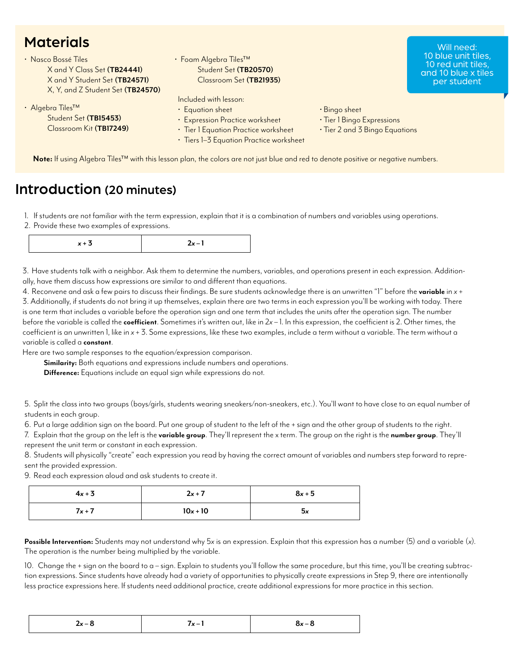### **Materials**

| X and Y Class Set (TB24441)                                                      | $\cdot$ Foam Algebra Tiles <sup>TM</sup>                                                                                                                        |                                                                               | 10 red unit tiles,  |
|----------------------------------------------------------------------------------|-----------------------------------------------------------------------------------------------------------------------------------------------------------------|-------------------------------------------------------------------------------|---------------------|
| X and Y Student Set (TB24571)                                                    | Student Set (TB20570)                                                                                                                                           |                                                                               | and 10 blue x tiles |
| X, Y, and Z Student Set (TB24570)                                                | Classroom Set (TB21935)                                                                                                                                         |                                                                               | per student         |
| • Algebra Tiles <sup>™</sup><br>Student Set (TB15453)<br>Classroom Kit (TB17249) | Included with lesson:<br>• Equation sheet<br>• Expression Practice worksheet<br>· Tier I Equation Practice worksheet<br>• Tiers 1-3 Equation Practice worksheet | • Bingo sheet<br>· Tier 1 Bingo Expressions<br>. Tier 2 and 3 Bingo Equations |                     |

Will need:

### Introduction (20 minutes)

1. If students are not familiar with the term expression, explain that it is a combination of numbers and variables using operations.

2. Provide these two examples of expressions.

3. Have students talk with a neighbor. Ask them to determine the numbers, variables, and operations present in each expression. Additionally, have them discuss how expressions are similar to and different than equations.

4. Reconvene and ask a few pairs to discuss their findings. Be sure students acknowledge there is an unwritten "1" before the **variable** in *x* + 3. Additionally, if students do not bring it up themselves, explain there are two terms in each expression you'll be working with today. There is one term that includes a variable before the operation sign and one term that includes the units after the operation sign. The number before the variable is called the **coefficient**. Sometimes it's written out, like in 2*x* – 1. In this expression, the coefficient is 2. Other times, the coefficient is an unwritten 1, like in *x* + 3. Some expressions, like these two examples, include a term without a variable. The term without a variable is called a **constant**.

Here are two sample responses to the equation/expression comparison.

**Similarity:** Both equations and expressions include numbers and operations.

**Difference:** Equations include an equal sign while expressions do not.

5. Split the class into two groups (boys/girls, students wearing sneakers/non-sneakers, etc.). You'll want to have close to an equal number of students in each group.

6. Put a large addition sign on the board. Put one group of student to the left of the + sign and the other group of students to the right.

7. Explain that the group on the left is the **variable group**. They'll represent the x term. The group on the right is the **number group**. They'll represent the unit term or constant in each expression.

8. Students will physically "create" each expression you read by having the correct amount of variables and numbers step forward to represent the provided expression.

9. Read each expression aloud and ask students to create it.

| $4x + 3$ | $2x + 7$   | $8x + 5$ |
|----------|------------|----------|
| $7x+7$   | $10x + 10$ | 5x       |

**Possible Intervention:** Students may not understand why 5*x* is an expression. Explain that this expression has a number (5) and a variable (*x*). The operation is the number being multiplied by the variable.

10. Change the + sign on the board to a – sign. Explain to students you'll follow the same procedure, but this time, you'll be creating subtraction expressions. Since students have already had a variety of opportunities to physically create expressions in Step 9, there are intentionally less practice expressions here. If students need additional practice, create additional expressions for more practice in this section.

| -<br>$2x-8$<br>$8x-8$<br>/x – I<br>$  -$<br>$-$ |
|-------------------------------------------------|
|-------------------------------------------------|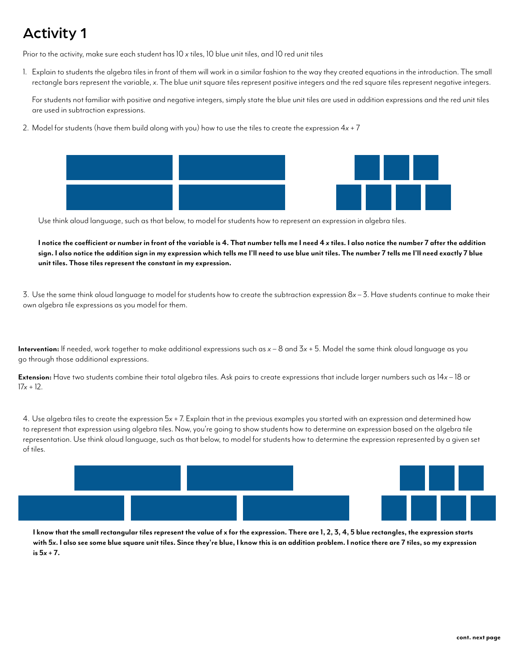## Activity 1

Prior to the activity, make sure each student has 10 *x* tiles, 10 blue unit tiles, and 10 red unit tiles

1. Explain to students the algebra tiles in front of them will work in a similar fashion to the way they created equations in the introduction. The small rectangle bars represent the variable, *x*. The blue unit square tiles represent positive integers and the red square tiles represent negative integers.

For students not familiar with positive and negative integers, simply state the blue unit tiles are used in addition expressions and the red unit tiles are used in subtraction expressions.

2. Model for students (have them build along with you) how to use the tiles to create the expression 4*x* + 7



Use think aloud language, such as that below, to model for students how to represent an expression in algebra tiles.

**I notice the coefficient or number in front of the variable is 4. That number tells me I need 4** *x* **tiles. I also notice the number 7 after the addition sign. I also notice the addition sign in my expression which tells me I'll need to use blue unit tiles. The number 7 tells me I'll need exactly 7 blue unit tiles. Those tiles represent the constant in my expression.**

3. Use the same think aloud language to model for students how to create the subtraction expression 8*x* – 3. Have students continue to make their own algebra tile expressions as you model for them.

**Intervention:** If needed, work together to make additional expressions such as *x* – 8 and 3*x* + 5. Model the same think aloud language as you go through those additional expressions.

**Extension:** Have two students combine their total algebra tiles. Ask pairs to create expressions that include larger numbers such as 14*x* – 18 or 17*x* + 12.

4. Use algebra tiles to create the expression 5*x* + 7. Explain that in the previous examples you started with an expression and determined how to represent that expression using algebra tiles. Now, you're going to show students how to determine an expression based on the algebra tile representation. Use think aloud language, such as that below, to model for students how to determine the expression represented by a given set of tiles.



**I know that the small rectangular tiles represent the value of x for the expression. There are 1, 2, 3, 4, 5 blue rectangles, the expression starts with 5***x***. I also see some blue square unit tiles. Since they're blue, I know this is an addition problem. I notice there are 7 tiles, so my expression**  $is 5x + 7.$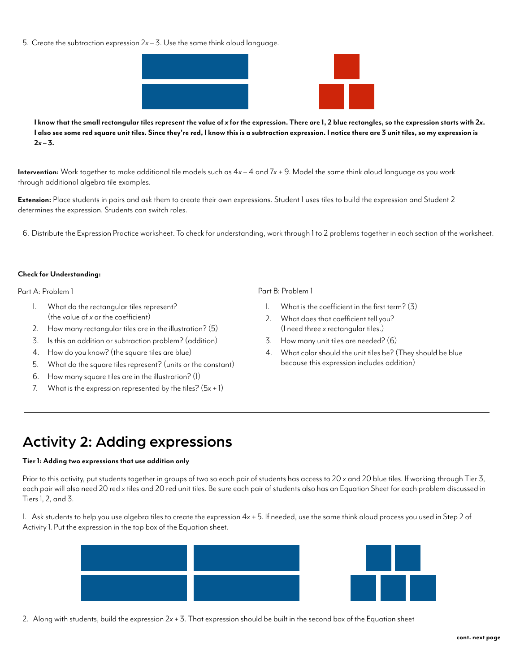5. Create the subtraction expression 2*x* – 3. Use the same think aloud language.



**I know that the small rectangular tiles represent the value of** *x* **for the expression. There are 1, 2 blue rectangles, so the expression starts with 2***x***. I also see some red square unit tiles. Since they're red, I know this is a subtraction expression. I notice there are 3 unit tiles, so my expression is**   $2x - 3$ .

**Intervention:** Work together to make additional tile models such as 4*x* – 4 and 7*x* + 9. Model the same think aloud language as you work through additional algebra tile examples.

**Extension:** Place students in pairs and ask them to create their own expressions. Student 1 uses tiles to build the expression and Student 2 determines the expression. Students can switch roles.

6. Distribute the Expression Practice worksheet. To check for understanding, work through 1 to 2 problems together in each section of the worksheet.

#### **Check for Understanding:**

#### Part A: Problem 1 Part B: Problem 1

- 1. What do the rectangular tiles represent? (the value of *x* or the coefficient)
- 2. How many rectangular tiles are in the illustration? (5)
- 3. Is this an addition or subtraction problem? (addition)
- 4. How do you know? (the square tiles are blue)
- 5. What do the square tiles represent? (units or the constant)
- 6. How many square tiles are in the illustration? (1)
- 7. What is the expression represented by the tiles?  $(5x + 1)$

- 1. What is the coefficient in the first term? (3)
- 2. What does that coefficient tell you? (I need three *x* rectangular tiles.)
- 3. How many unit tiles are needed? (6)
- 4. What color should the unit tiles be? (They should be blue because this expression includes addition)

### Activity 2: Adding expressions

#### **Tier 1: Adding two expressions that use addition only**

Prior to this activity, put students together in groups of two so each pair of students has access to 20 *x* and 20 blue tiles. If working through Tier 3, each pair will also need 20 red *x* tiles and 20 red unit tiles. Be sure each pair of students also has an Equation Sheet for each problem discussed in Tiers 1, 2, and 3.

1. Ask students to help you use algebra tiles to create the expression 4*x* + 5. If needed, use the same think aloud process you used in Step 2 of Activity 1. Put the expression in the top box of the Equation sheet.



2. Along with students, build the expression 2*x* + 3. That expression should be built in the second box of the Equation sheet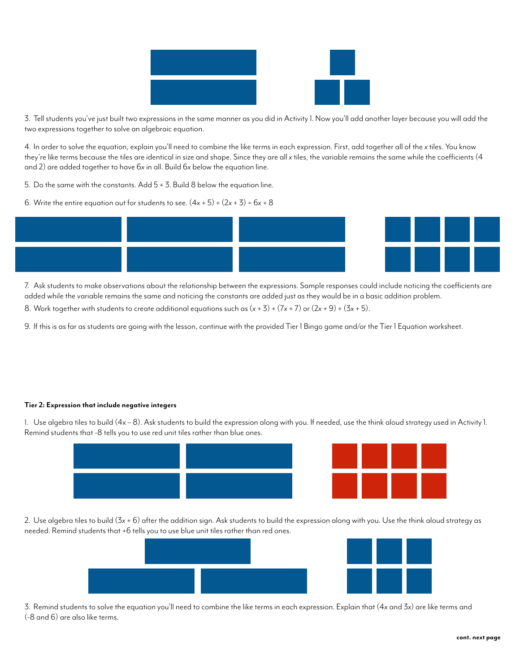

3. Tell students you've just built two expressions in the same manner as you did in Activity 1. Now you'll add another layer because you will add the two expressions together to solve an algebraic equation.

4. In order to solve the equation, explain you'll need to combine the like terms in each expression. First, add together all of the *x* tiles. You know they're like terms because the tiles are identical in size and shape. Since they are all *x* tiles, the variable remains the same while the coefficients (4 and 2) are added together to have 6*x* in all. Build 6*x* below the equation line.

- 5. Do the same with the constants. Add 5 + 3. Build 8 below the equation line.
- 6. Write the entire equation out for students to see.  $(4x + 5) + (2x + 3) = 6x + 8$



7. Ask students to make observations about the relationship between the expressions. Sample responses could include noticing the coefficients are added while the variable remains the same and noticing the constants are added just as they would be in a basic addition problem.

- 8. Work together with students to create additional equations such as  $(x + 3) + (7x + 7)$  or  $(2x + 9) + (3x + 5)$ .
- 9. If this is as far as students are going with the lesson, continue with the provided Tier 1 Bingo game and/or the Tier 1 Equation worksheet.

#### **Tier 2: Expression that include negative integers**

1. Use algebra tiles to build (4x – 8). Ask students to build the expression along with you. If needed, use the think aloud strategy used in Activity 1. Remind students that -8 tells you to use red unit tiles rather than blue ones.



2. Use algebra tiles to build (3*x* + 6) after the addition sign. Ask students to build the expression along with you. Use the think aloud strategy as needed. Remind students that +6 tells you to use blue unit tiles rather than red ones.



3. Remind students to solve the equation you'll need to combine the like terms in each expression. Explain that (4*x* and 3*x*) are like terms and (-8 and 6) are also like terms.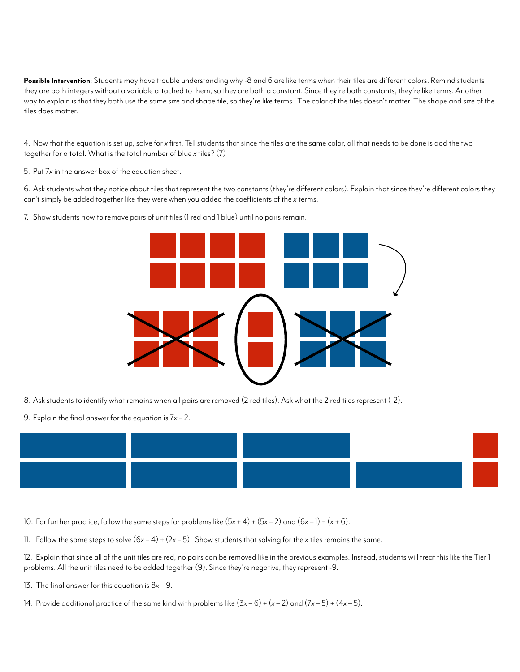**Possible Intervention**: Students may have trouble understanding why -8 and 6 are like terms when their tiles are different colors. Remind students they are both integers without a variable attached to them, so they are both a constant. Since they're both constants, they're like terms. Another way to explain is that they both use the same size and shape tile, so they're like terms. The color of the tiles doesn't matter. The shape and size of the tiles does matter.

4. Now that the equation is set up, solve for *x* first. Tell students that since the tiles are the same color, all that needs to be done is add the two together for a total. What is the total number of blue *x* tiles? (7)

5. Put 7*x* in the answer box of the equation sheet.

6. Ask students what they notice about tiles that represent the two constants (they're different colors). Explain that since they're different colors they can't simply be added together like they were when you added the coefficients of the *x* terms.

7. Show students how to remove pairs of unit tiles (1 red and 1 blue) until no pairs remain.



- 8. Ask students to identify what remains when all pairs are removed (2 red tiles). Ask what the 2 red tiles represent (-2).
- 9. Explain the final answer for the equation is 7*x* 2.



- 10. For further practice, follow the same steps for problems like (5*x* + 4) + (5*x* 2) and (6*x* 1) + (*x* + 6).
- 11. Follow the same steps to solve  $(6x-4) + (2x-5)$ . Show students that solving for the *x* tiles remains the same.

12. Explain that since all of the unit tiles are red, no pairs can be removed like in the previous examples. Instead, students will treat this like the Tier 1 problems. All the unit tiles need to be added together (9). Since they're negative, they represent -9.

- 13. The final answer for this equation is 8*x* 9.
- 14. Provide additional practice of the same kind with problems like  $(3x-6) + (x-2)$  and  $(7x-5) + (4x-5)$ .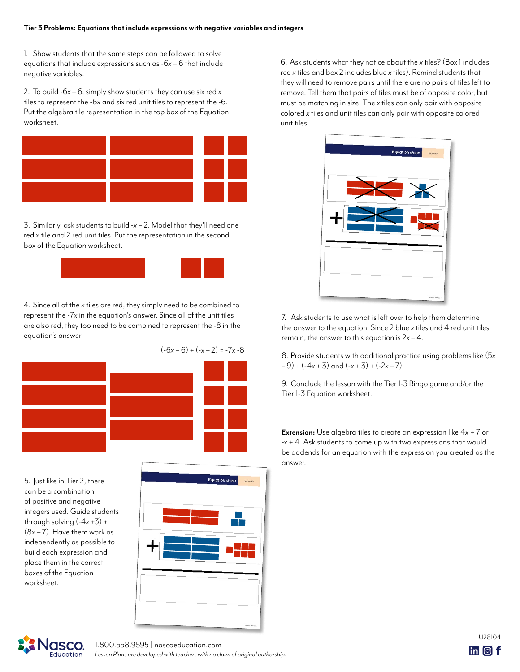#### **Tier 3 Problems: Equations that include expressions with negative variables and integers**

1. Show students that the same steps can be followed to solve equations that include expressions such as -6*x* – 6 that include negative variables.

2. To build -6*x* – 6, simply show students they can use six red *x* tiles to represent the -6*x* and six red unit tiles to represent the -6. Put the algebra tile representation in the top box of the Equation worksheet.



3. Similarly, ask students to build -*x* – 2. Model that they'll need one red *x* tile and 2 red unit tiles. Put the representation in the second box of the Equation worksheet.



4. Since all of the *x* tiles are red, they simply need to be combined to represent the -7*x* in the equation's answer. Since all of the unit tiles are also red, they too need to be combined to represent the -8 in the equation's answer.

 $(-6x-6)+(-x-2) = -7x-8$ 



5. Just like in Tier 2, there can be a combination of positive and negative integers used. Guide students through solving  $(-4x + 3) +$ (8*x* – 7). Have them work as independently as possible to build each expression and place them in the correct boxes of the Equation worksheet.



6. Ask students what they notice about the *x* tiles? (Box 1 includes red *x* tiles and box 2 includes blue *x* tiles). Remind students that they will need to remove pairs until there are no pairs of tiles left to remove. Tell them that pairs of tiles must be of opposite color, but must be matching in size. The *x* tiles can only pair with opposite colored *x* tiles and unit tiles can only pair with opposite colored unit tiles.



7. Ask students to use what is left over to help them determine the answer to the equation. Since 2 blue *x* tiles and 4 red unit tiles remain, the answer to this equation is 2*x* – 4.

8. Provide students with additional practice using problems like (5*x*  $(-9) + (-4x + 3)$  and  $(-x + 3) + (-2x - 7)$ .

9. Conclude the lesson with the Tier 1-3 Bingo game and/or the Tier 1-3 Equation worksheet.

**Extension:** Use algebra tiles to create an expression like 4*x* + 7 or -*x* + 4. Ask students to come up with two expressions that would be addends for an equation with the expression you created as the answer.



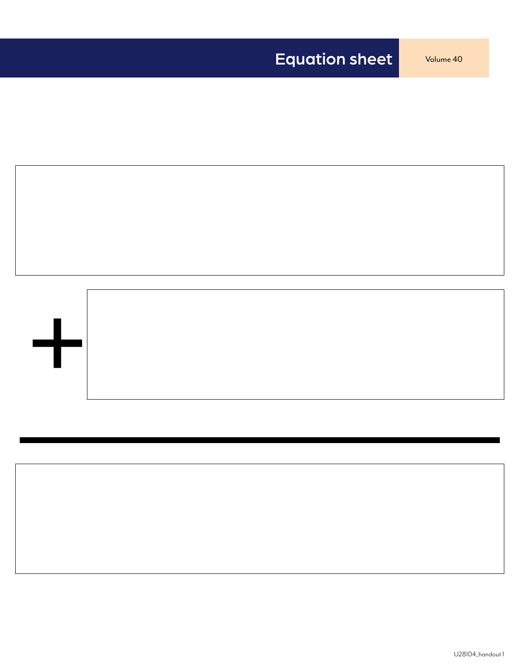

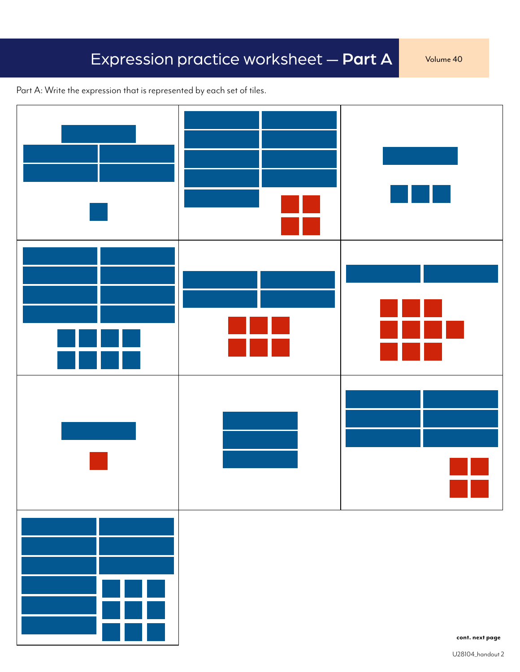# Expression practice worksheet - Part A Volume 40

Part A: Write the expression that is represented by each set of tiles.

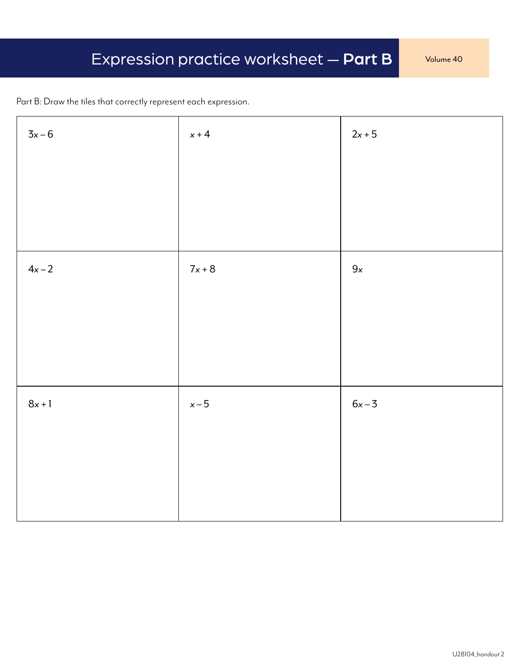Part B: Draw the tiles that correctly represent each expression.

| $3x-6$   | $x + 4$  | $2x+5$ |
|----------|----------|--------|
|          |          |        |
|          |          |        |
|          |          |        |
| $4x-2$   | $7x + 8$ | $9x$   |
|          |          |        |
|          |          |        |
|          |          |        |
| $8x + 1$ | $x-5$    | $6x-3$ |
|          |          |        |
|          |          |        |
|          |          |        |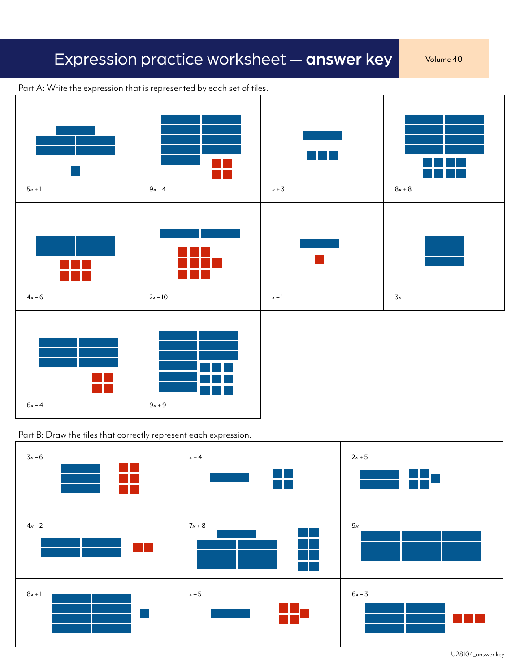# Expression practice worksheet - answer key volume 40



Part A: Write the expression that is represented by each set of tiles.





U28104\_answer key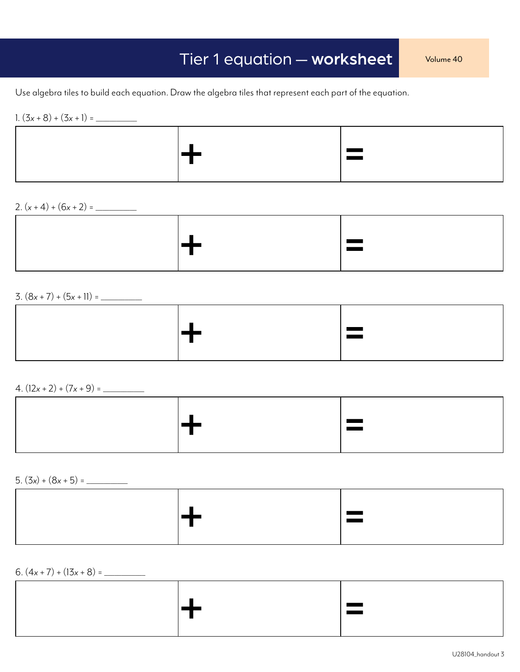Use algebra tiles to build each equation. Draw the algebra tiles that represent each part of the equation.

1. (3*x* + 8) + (3*x* + 1) = \_\_\_\_\_\_\_\_\_\_\_\_



2. (*x* + 4) + (6*x* + 2) = \_\_\_\_\_\_\_\_\_\_\_\_



3. (8*x* + 7) + (5*x* + 11) = \_\_\_\_\_\_\_\_\_\_\_\_

|  | ш<br>ـ |
|--|--------|
|  |        |

 $4. (12x + 2) + (7x + 9) =$ 

| ٠<br><u>e and</u><br>. .<br>the contract of the contract of the |  |
|-----------------------------------------------------------------|--|
|-----------------------------------------------------------------|--|

5. (3*x*) + (8*x* + 5) = \_\_\_\_\_\_\_\_\_\_\_\_

|--|--|--|

6. (4*x* + 7) + (13*x* + 8) = \_\_\_\_\_\_\_\_\_\_\_\_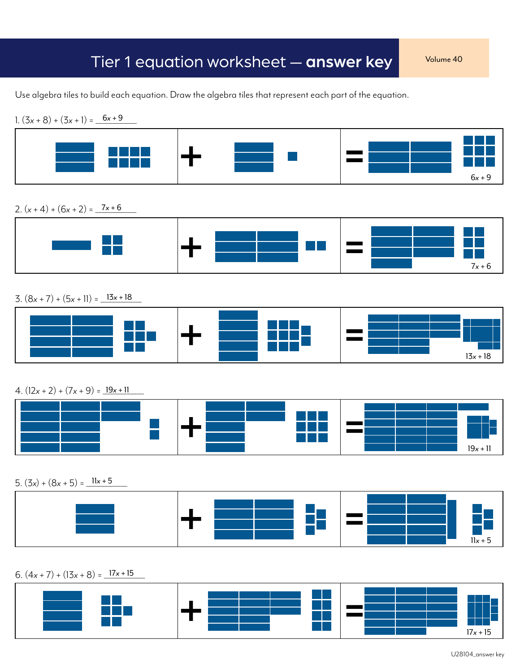### Tier 1 equation worksheet — answer key volume 40

Use algebra tiles to build each equation. Draw the algebra tiles that represent each part of the equation.



### 2.  $(x + 4) + (6x + 2) = 7x + 6$



 $3. (8x + 7) + (5x + 11) = 13x + 18$ 



 $4. (12x + 2) + (7x + 9) = 19x + 11$ 



5.  $(3x) + (8x + 5) = 11x + 5$ 



 $6. (4x + 7) + (13x + 8) = 17x + 15$ 

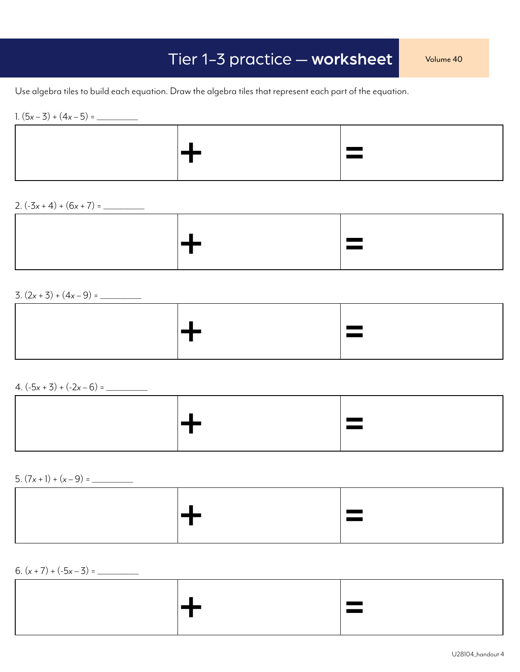# Tier 1-3 practice — worksheet Volume 40

Use algebra tiles to build each equation. Draw the algebra tiles that represent each part of the equation.

1. (5*x* – 3) + (4*x* – 5) = \_\_\_\_\_\_\_\_\_\_\_\_



2.  $(-3x + 4) + (6x + 7) =$ 



3. (2*x* + 3) + (4*x* – 9) = \_\_\_\_\_\_\_\_\_\_\_\_

 $4. (-5x + 3) + (-2x - 6) =$ 

|--|

5. (7*x* + 1) + (*x* – 9) = \_\_\_\_\_\_\_\_\_\_\_\_

|  | $\overline{\phantom{a}}$ |
|--|--------------------------|
|  |                          |

6. (*x* + 7) + (-5*x* – 3) = \_\_\_\_\_\_\_\_\_\_\_\_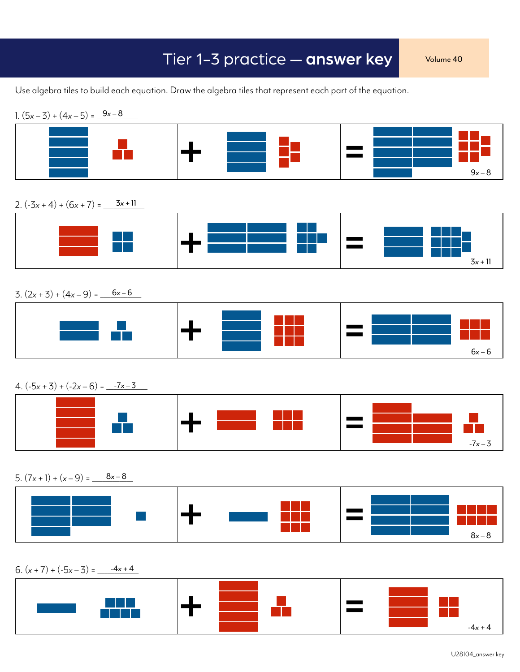### Tier 1-3 practice — answer key Volume 40

Use algebra tiles to build each equation. Draw the algebra tiles that represent each part of the equation.



 $-4x + 4$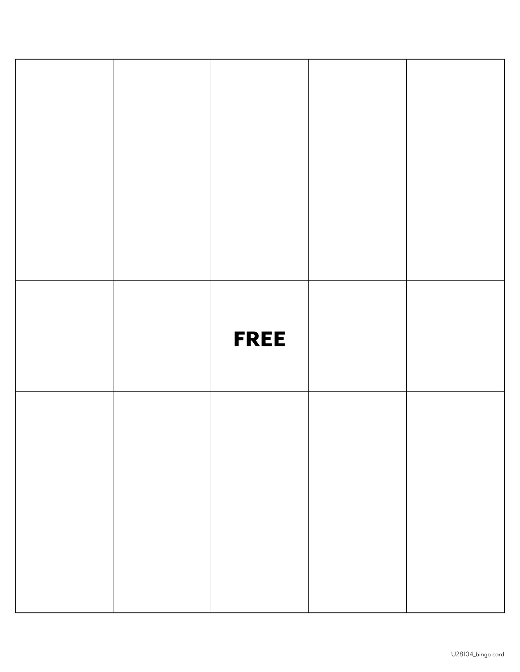|  | <b>FREE</b> |  |
|--|-------------|--|
|  |             |  |
|  |             |  |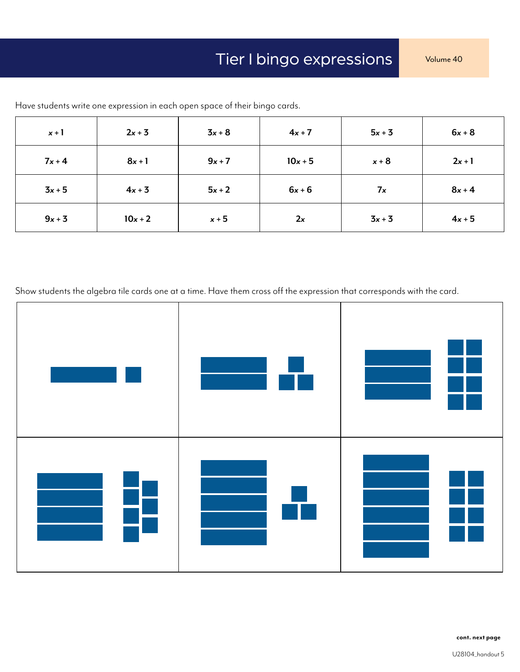| $x + 1$  | $2x + 3$  | $3x + 8$ | $4x + 7$  | $5x + 3$ | $6x + 8$ |
|----------|-----------|----------|-----------|----------|----------|
| $7x + 4$ | $8x + 1$  | $9x + 7$ | $10x + 5$ | $x + 8$  | $2x + 1$ |
| $3x + 5$ | $4x + 3$  | $5x + 2$ | $6x + 6$  | 7x       | $8x + 4$ |
| $9x + 3$ | $10x + 2$ | $x + 5$  | 2x        | $3x + 3$ | $4x + 5$ |

Have students write one expression in each open space of their bingo cards.

Show students the algebra tile cards one at a time. Have them cross off the expression that corresponds with the card.

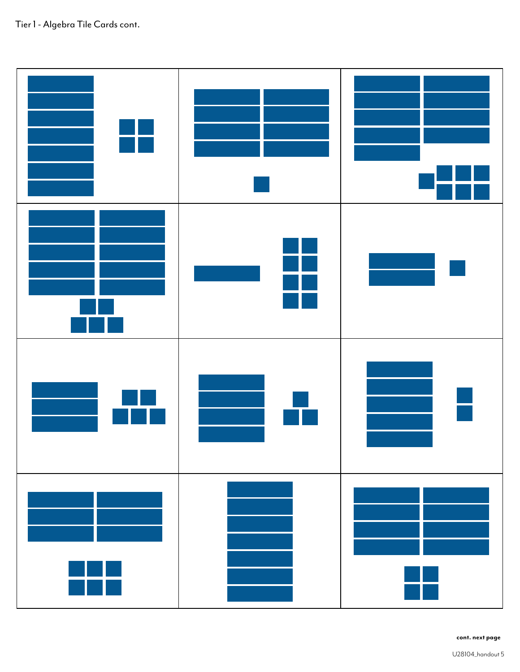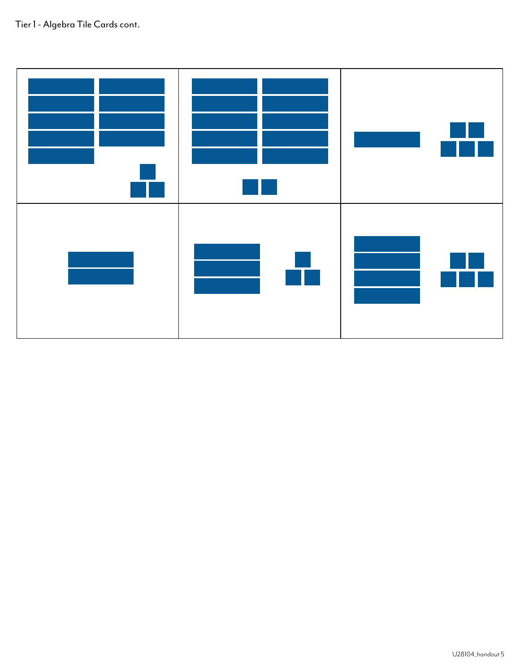### Tier 1 - Algebra Tile Cards cont.

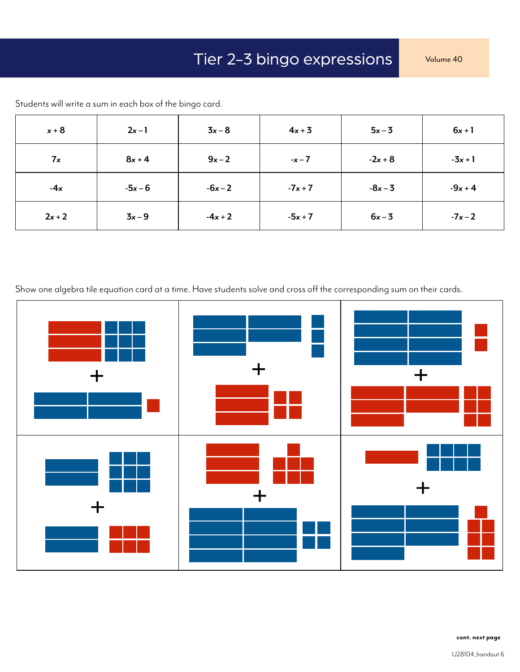| $x + 8$  | $2x-1$    | $3x-8$    | $4x + 3$  | $5x-3$    | $6x + 1$  |
|----------|-----------|-----------|-----------|-----------|-----------|
| 7x       | $8x + 4$  | $9x-2$    | $-x - 7$  | $-2x + 8$ | $-3x + 1$ |
| $-4x$    | $-5x - 6$ | $-6x - 2$ | $-7x + 7$ | $-8x - 3$ | $-9x + 4$ |
| $2x + 2$ | $3x-9$    | $-4x + 2$ | $-5x + 7$ | $6x-3$    | $-7x-2$   |

Students will write a sum in each box of the bingo card.

Show one algebra tile equation card at a time. Have students solve and cross off the corresponding sum on their cards.

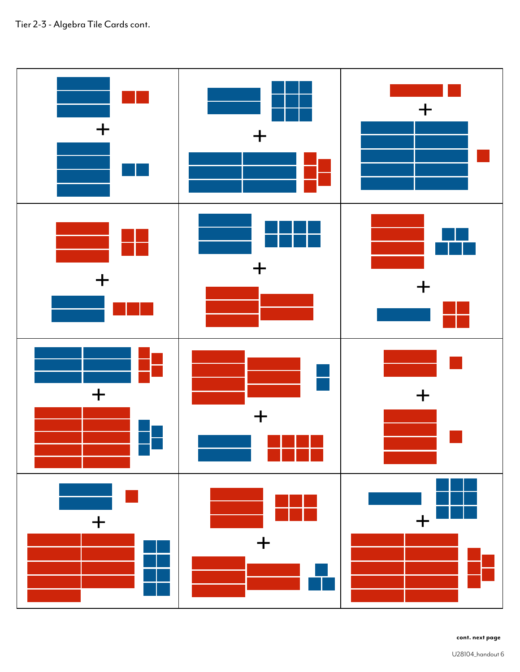